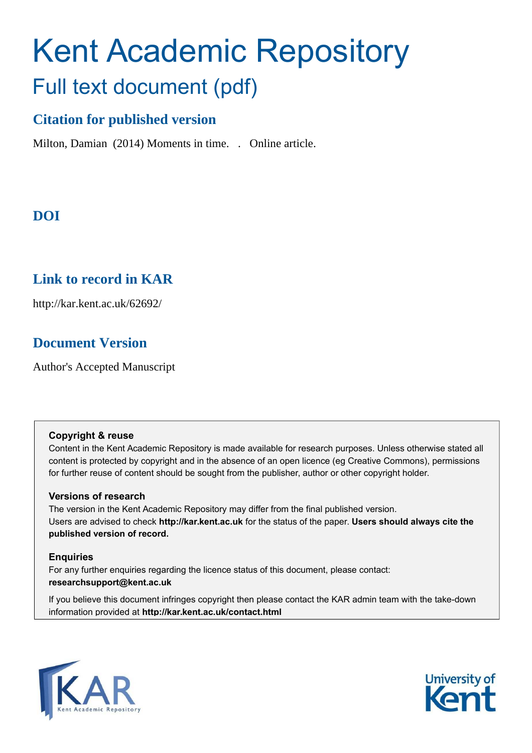# Kent Academic Repository Full text document (pdf)

## **Citation for published version**

Milton, Damian (2014) Moments in time. . Online article.

## **DOI**

## **Link to record in KAR**

http://kar.kent.ac.uk/62692/

## **Document Version**

Author's Accepted Manuscript

#### **Copyright & reuse**

Content in the Kent Academic Repository is made available for research purposes. Unless otherwise stated all content is protected by copyright and in the absence of an open licence (eg Creative Commons), permissions for further reuse of content should be sought from the publisher, author or other copyright holder.

#### **Versions of research**

The version in the Kent Academic Repository may differ from the final published version. Users are advised to check **http://kar.kent.ac.uk** for the status of the paper. **Users should always cite the published version of record.**

#### **Enquiries**

For any further enquiries regarding the licence status of this document, please contact: **researchsupport@kent.ac.uk**

If you believe this document infringes copyright then please contact the KAR admin team with the take-down information provided at **http://kar.kent.ac.uk/contact.html**



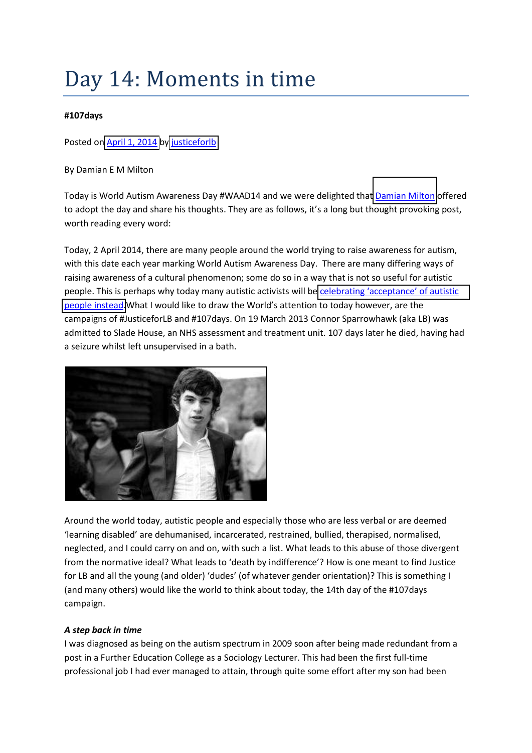## Day 14: Moments in time

#### **#107days**

#### Posted on [April 1, 2014](https://107daysofaction.wordpress.com/2014/04/01/day-14-moments-in-time-107days/) b[y justiceforlb](https://107daysofaction.wordpress.com/author/justiceforlb/)

By Damian E M Milton

Today is World Autism Awareness Day #WAAD14 and we were delighted that [Damian Milton](https://twitter.com/milton_damian) offered to adopt the day and share his thoughts. They are as follows, it's a long but thought provoking post, worth reading every word:

Today, 2 April 2014, there are many people around the world trying to raise awareness for autism, with this date each year marking World Autism Awareness Day. There are many differing ways of raising awareness of a cultural phenomenon; some do so in a way that is not so useful for autistic people. This is perhaps why today many autistic activists will be celebrating 'acceptance' of autistic [people instead](http://autismacceptanceday.blogspot.co.uk/). What I would like to draw the World's attention to today however, are the campaigns of #JusticeforLB and #107days. On 19 March 2013 Connor Sparrowhawk (aka LB) was admitted to Slade House, an NHS assessment and treatment unit. 107 days later he died, having had a seizure whilst left unsupervised in a bath.



Around the world today, autistic people and especially those who are less verbal or are deemed 'learning disabled' are dehumanised, incarcerated, restrained, bullied, therapised, normalised, neglected, and I could carry on and on, with such a list. What leads to this abuse of those divergent from the normative ideal? What leads to 'death by indifference'? How is one meant to find Justice for LB and all the young (and older) 'dudes' (of whatever gender orientation)? This is something I (and many others) would like the world to think about today, the 14th day of the #107days campaign.

#### *A step back in time*

I was diagnosed as being on the autism spectrum in 2009 soon after being made redundant from a post in a Further Education College as a Sociology Lecturer. This had been the first full-time professional job I had ever managed to attain, through quite some effort after my son had been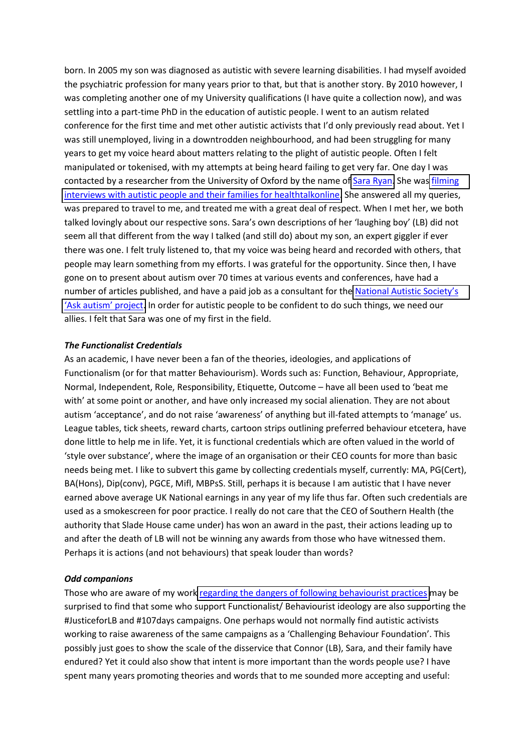born. In 2005 my son was diagnosed as autistic with severe learning disabilities. I had myself avoided the psychiatric profession for many years prior to that, but that is another story. By 2010 however, I was completing another one of my University qualifications (I have quite a collection now), and was settling into a part-time PhD in the education of autistic people. I went to an autism related conference for the first time and met other autistic activists that I'd only previously read about. Yet I was still unemployed, living in a downtrodden neighbourhood, and had been struggling for many years to get my voice heard about matters relating to the plight of autistic people. Often I felt manipulated or tokenised, with my attempts at being heard failing to get very far. One day I was contacted by a researcher from the University of Oxford by the name of [Sara Ryan.](https://twitter.com/sarasiobhan) She was filming [interviews with autistic people and their families for healthtalkonline.](http://healthtalkonline.org/peoples-experiences/autism/life-autism-spectrum/damian-interview-03b) She answered all my queries, was prepared to travel to me, and treated me with a great deal of respect. When I met her, we both talked lovingly about our respective sons. Sara's own descriptions of her 'laughing boy' (LB) did not seem all that different from the way I talked (and still do) about my son, an expert giggler if ever there was one. I felt truly listened to, that my voice was being heard and recorded with others, that people may learn something from my efforts. I was grateful for the opportunity. Since then, I have gone on to present about autism over 70 times at various events and conferences, have had a number of articles published, and have a paid job as a consultant for the National Autistic Society's 'Ask autism' project. In order for autistic people to be confident to do such things, we need our allies. I felt that Sara was one of my first in the field.

#### *The Functionalist Credentials*

As an academic, I have never been a fan of the theories, ideologies, and applications of Functionalism (or for that matter Behaviourism). Words such as: Function, Behaviour, Appropriate, Normal, Independent, Role, Responsibility, Etiquette, Outcome – have all been used to 'beat me with' at some point or another, and have only increased my social alienation. They are not about autism 'acceptance', and do not raise 'awareness' of anything but ill-fated attempts to 'manage' us. League tables, tick sheets, reward charts, cartoon strips outlining preferred behaviour etcetera, have done little to help me in life. Yet, it is functional credentials which are often valued in the world of 'style over substance', where the image of an organisation or their CEO counts for more than basic needs being met. I like to subvert this game by collecting credentials myself, currently: MA, PG(Cert), BA(Hons), Dip(conv), PGCE, Mifl, MBPsS. Still, perhaps it is because I am autistic that I have never earned above average UK National earnings in any year of my life thus far. Often such credentials are used as a smokescreen for poor practice. I really do not care that the CEO of Southern Health (the authority that Slade House came under) has won an award in the past, their actions leading up to and after the death of LB will not be winning any awards from those who have witnessed them. Perhaps it is actions (and not behaviours) that speak louder than words?

#### *Odd companions*

Those who are aware of my work [regarding the dangers of following behaviourist practices](http://www.larry-arnold.net/Autonomy/index.php/autonomy/article/view/9/21) may be surprised to find that some who support Functionalist/ Behaviourist ideology are also supporting the #JusticeforLB and #107days campaigns. One perhaps would not normally find autistic activists working to raise awareness of the same campaigns as a 'Challenging Behaviour Foundation'. This possibly just goes to show the scale of the disservice that Connor (LB), Sara, and their family have endured? Yet it could also show that intent is more important than the words people use? I have spent many years promoting theories and words that to me sounded more accepting and useful: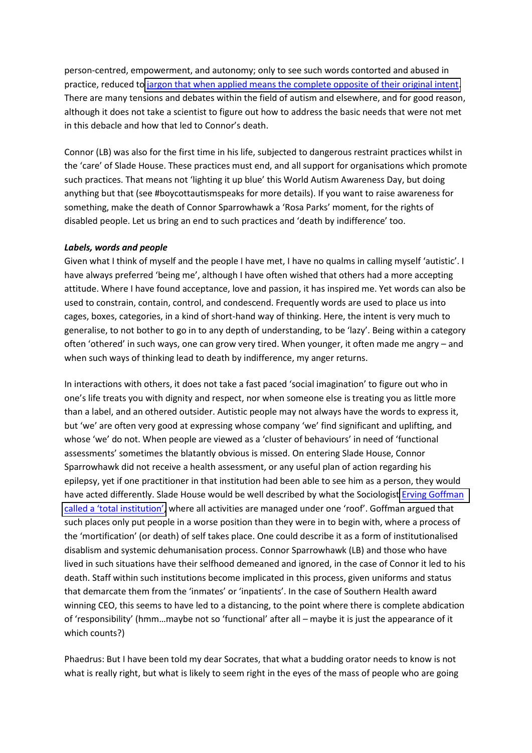person-centred, empowerment, and autonomy; only to see such words contorted and abused in practice, reduced to [jargon that when applied means the complete opposite of their original intent.](http://www.bbc.co.uk/news/blogs-ouch-23423541) There are many tensions and debates within the field of autism and elsewhere, and for good reason, although it does not take a scientist to figure out how to address the basic needs that were not met in this debacle and how that led to Connor's death.

Connor (LB) was also for the first time in his life, subjected to dangerous restraint practices whilst in the 'care' of Slade House. These practices must end, and all support for organisations which promote such practices. That means not 'lighting it up blue' this World Autism Awareness Day, but doing anything but that (see #boycottautismspeaks for more details). If you want to raise awareness for something, make the death of Connor Sparrowhawk a 'Rosa Parks' moment, for the rights of disabled people. Let us bring an end to such practices and 'death by indifference' too.

#### *Labels, words and people*

Given what I think of myself and the people I have met, I have no qualms in calling myself 'autistic'. I have always preferred 'being me', although I have often wished that others had a more accepting attitude. Where I have found acceptance, love and passion, it has inspired me. Yet words can also be used to constrain, contain, control, and condescend. Frequently words are used to place us into cages, boxes, categories, in a kind of short-hand way of thinking. Here, the intent is very much to generalise, to not bother to go in to any depth of understanding, to be 'lazy'. Being within a category often 'othered' in such ways, one can grow very tired. When younger, it often made me angry - and when such ways of thinking lead to death by indifference, my anger returns.

In interactions with others, it does not take a fast paced 'social imagination' to figure out who in one's life treats you with dignity and respect, nor when someone else is treating you as little more than a label, and an othered outsider. Autistic people may not always have the words to express it, but 'we' are often very good at expressing whose company 'we' find significant and uplifting, and whose 'we' do not. When people are viewed as a 'cluster of behaviours' in need of 'functional assessments' sometimes the blatantly obvious is missed. On entering Slade House, Connor Sparrowhawk did not receive a health assessment, or any useful plan of action regarding his epilepsy, yet if one practitioner in that institution had been able to see him as a person, they would have acted differently. Slade House would be well described by what the Sociologis[t Erving Goffman](http://en.wikipedia.org/wiki/Total_institution)  called a 'total institution', where all activities are managed under one 'roof'. Goffman argued that such places only put people in a worse position than they were in to begin with, where a process of the 'mortification' (or death) of self takes place. One could describe it as a form of institutionalised disablism and systemic dehumanisation process. Connor Sparrowhawk (LB) and those who have lived in such situations have their selfhood demeaned and ignored, in the case of Connor it led to his death. Staff within such institutions become implicated in this process, given uniforms and status that demarcate them from the 'inmates' or 'inpatients'. In the case of Southern Health award winning CEO, this seems to have led to a distancing, to the point where there is complete abdication of 'responsibility' (hmm...maybe not so 'functional' after all – maybe it is just the appearance of it which counts?)

Phaedrus: But I have been told my dear Socrates, that what a budding orator needs to know is not what is really right, but what is likely to seem right in the eyes of the mass of people who are going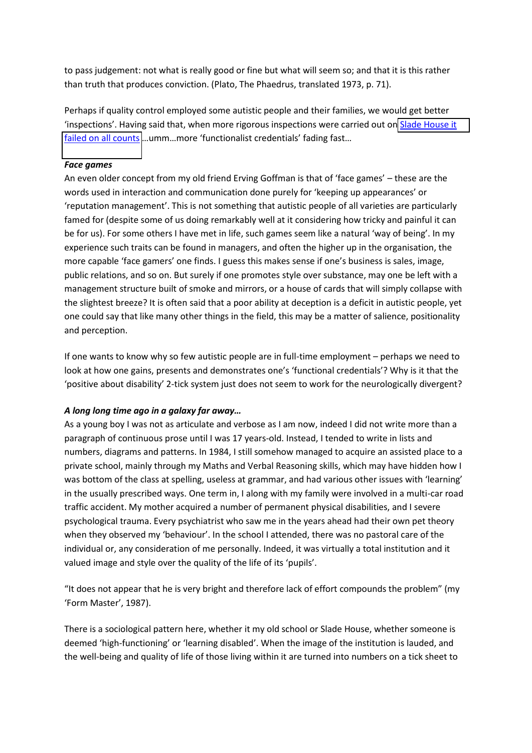to pass judgement: not what is really good or fine but what will seem so; and that it is this rather than truth that produces conviction. (Plato, The Phaedrus, translated 1973, p. 71).

Perhaps if quality control employed some autistic people and their families, we would get better 'inspections'. Having said that, when more rigorous inspections were carried out on Slade House it [failed on all counts](http://www.cqc.org.uk/sites/default/files/media/reports/RW11V_Slade_House_INS1-927131809_Scheduled_21-11-2013.pdf) ...umm...more 'functionalist credentials' fading fast...

#### *Face games*

An even older concept from my old friend Erving Goffman is that of 'face games' – these are the words used in interaction and communication done purely for 'keeping up appearances' or 'reputation management'. This is not something that autistic people of all varieties are particularly famed for (despite some of us doing remarkably well at it considering how tricky and painful it can be for us). For some others I have met in life, such games seem like a natural 'way of being'. In my experience such traits can be found in managers, and often the higher up in the organisation, the more capable 'face gamers' one finds. I guess this makes sense if one's business is sales, image, public relations, and so on. But surely if one promotes style over substance, may one be left with a management structure built of smoke and mirrors, or a house of cards that will simply collapse with the slightest breeze? It is often said that a poor ability at deception is a deficit in autistic people, yet one could say that like many other things in the field, this may be a matter of salience, positionality and perception.

If one wants to know why so few autistic people are in full-time employment - perhaps we need to look at how one gains, presents and demonstrates one's 'functional credentials'? Why is it that the 'positive about disability' 2-tick system just does not seem to work for the neurologically divergent?

#### *A long long time ago in a galaxy far away...*

As a young boy I was not as articulate and verbose as I am now, indeed I did not write more than a paragraph of continuous prose until I was 17 years-old. Instead, I tended to write in lists and numbers, diagrams and patterns. In 1984, I still somehow managed to acquire an assisted place to a private school, mainly through my Maths and Verbal Reasoning skills, which may have hidden how I was bottom of the class at spelling, useless at grammar, and had various other issues with 'learning' in the usually prescribed ways. One term in, I along with my family were involved in a multi-car road traffic accident. My mother acquired a number of permanent physical disabilities, and I severe psychological trauma. Every psychiatrist who saw me in the years ahead had their own pet theory when they observed my 'behaviour'. In the school I attended, there was no pastoral care of the individual or, any consideration of me personally. Indeed, it was virtually a total institution and it valued image and style over the quality of the life of its 'pupils'.

"It does not appear that he is very bright and therefore lack of effort compounds the problem" (my 'Form Master', 1987).

There is a sociological pattern here, whether it my old school or Slade House, whether someone is deemed 'high-functioning' or 'learning disabled'. When the image of the institution is lauded, and the well-being and quality of life of those living within it are turned into numbers on a tick sheet to